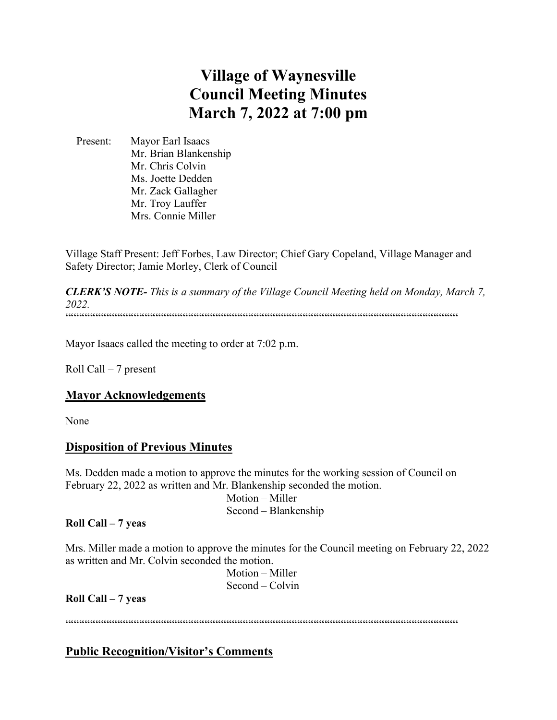# **Village of Waynesville Council Meeting Minutes March 7, 2022 at 7:00 pm**

 Present: Mayor Earl Isaacs Mr. Brian Blankenship Mr. Chris Colvin Ms. Joette Dedden Mr. Zack Gallagher Mr. Troy Lauffer Mrs. Connie Miller

Village Staff Present: Jeff Forbes, Law Director; Chief Gary Copeland, Village Manager and Safety Director; Jamie Morley, Clerk of Council

*CLERK'S NOTE- This is a summary of the Village Council Meeting held on Monday, March 7, 2022.*  """"""""""""""""""""""""""""""""""""""""""""""""""""""""""""""""""""""""

Mayor Isaacs called the meeting to order at 7:02 p.m.

Roll Call – 7 present

## **Mayor Acknowledgements**

None

## **Disposition of Previous Minutes**

Ms. Dedden made a motion to approve the minutes for the working session of Council on February 22, 2022 as written and Mr. Blankenship seconded the motion.

> Motion – Miller Second – Blankenship

#### **Roll Call – 7 yeas**

Mrs. Miller made a motion to approve the minutes for the Council meeting on February 22, 2022 as written and Mr. Colvin seconded the motion.

 Motion – Miller Second – Colvin

**Roll Call – 7 yeas**

""""""""""""""""""""""""""""""""""""""""""""""""""""""""""""""""""""""""

## **Public Recognition/Visitor's Comments**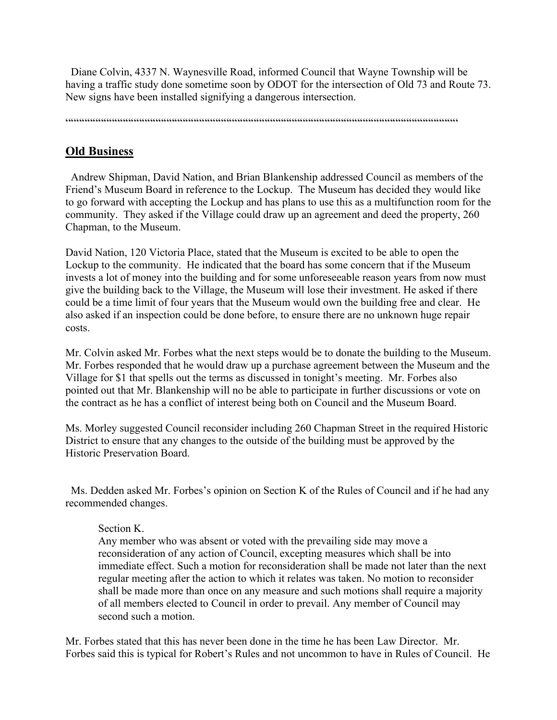Diane Colvin, 4337 N. Waynesville Road, informed Council that Wayne Township will be having a traffic study done sometime soon by ODOT for the intersection of Old 73 and Route 73. New signs have been installed signifying a dangerous intersection.

 $\cdots$ 

# **Old Business**

 Andrew Shipman, David Nation, and Brian Blankenship addressed Council as members of the Friend's Museum Board in reference to the Lockup. The Museum has decided they would like to go forward with accepting the Lockup and has plans to use this as a multifunction room for the community. They asked if the Village could draw up an agreement and deed the property, 260 Chapman, to the Museum.

David Nation, 120 Victoria Place, stated that the Museum is excited to be able to open the Lockup to the community. He indicated that the board has some concern that if the Museum invests a lot of money into the building and for some unforeseeable reason years from now must give the building back to the Village, the Museum will lose their investment. He asked if there could be a time limit of four years that the Museum would own the building free and clear. He also asked if an inspection could be done before, to ensure there are no unknown huge repair costs.

Mr. Colvin asked Mr. Forbes what the next steps would be to donate the building to the Museum. Mr. Forbes responded that he would draw up a purchase agreement between the Museum and the Village for \$1 that spells out the terms as discussed in tonight's meeting. Mr. Forbes also pointed out that Mr. Blankenship will no be able to participate in further discussions or vote on the contract as he has a conflict of interest being both on Council and the Museum Board.

Ms. Morley suggested Council reconsider including 260 Chapman Street in the required Historic District to ensure that any changes to the outside of the building must be approved by the Historic Preservation Board.

 Ms. Dedden asked Mr. Forbes's opinion on Section K of the Rules of Council and if he had any recommended changes.

## Section K.

Any member who was absent or voted with the prevailing side may move a reconsideration of any action of Council, excepting measures which shall be into immediate effect. Such a motion for reconsideration shall be made not later than the next regular meeting after the action to which it relates was taken. No motion to reconsider shall be made more than once on any measure and such motions shall require a majority of all members elected to Council in order to prevail. Any member of Council may second such a motion.

Mr. Forbes stated that this has never been done in the time he has been Law Director. Mr. Forbes said this is typical for Robert's Rules and not uncommon to have in Rules of Council. He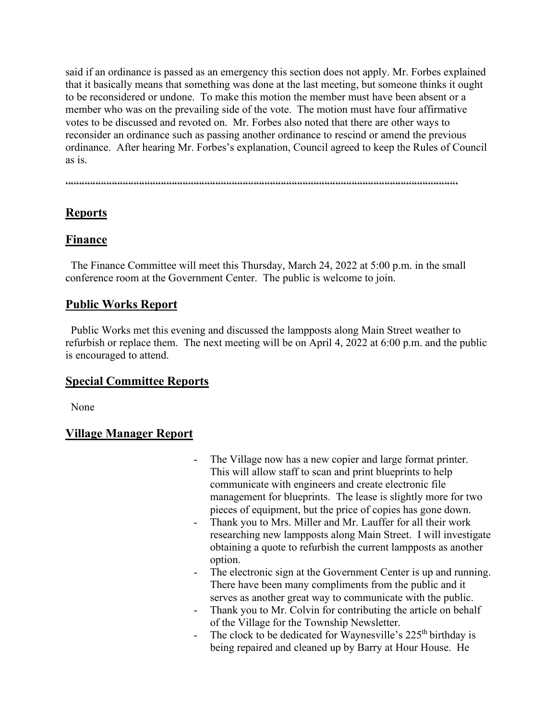said if an ordinance is passed as an emergency this section does not apply. Mr. Forbes explained that it basically means that something was done at the last meeting, but someone thinks it ought to be reconsidered or undone. To make this motion the member must have been absent or a member who was on the prevailing side of the vote. The motion must have four affirmative votes to be discussed and revoted on. Mr. Forbes also noted that there are other ways to reconsider an ordinance such as passing another ordinance to rescind or amend the previous ordinance. After hearing Mr. Forbes's explanation, Council agreed to keep the Rules of Council as is.

 $\label{prop:main} \hspace{15pt} \hspace{15pt} \textbf{if} \hspace{10pt} \begin{array}{l} \hspace{15pt} \textbf{if} \hspace{10pt} \textbf{if} \hspace{10pt} \textbf{if} \hspace{10pt} \textbf{if} \hspace{10pt} \textbf{if} \hspace{10pt} \textbf{if} \hspace{10pt} \textbf{if} \hspace{10pt} \textbf{if} \hspace{10pt} \textbf{if} \hspace{10pt} \textbf{if} \hspace{10pt} \textbf{if} \hspace{10pt} \textbf{if} \hspace{10pt}$ 

# **Reports**

## **Finance**

 The Finance Committee will meet this Thursday, March 24, 2022 at 5:00 p.m. in the small conference room at the Government Center. The public is welcome to join.

# **Public Works Report**

 Public Works met this evening and discussed the lampposts along Main Street weather to refurbish or replace them. The next meeting will be on April 4, 2022 at 6:00 p.m. and the public is encouraged to attend.

## **Special Committee Reports**

None

# **Village Manager Report**

- The Village now has a new copier and large format printer. This will allow staff to scan and print blueprints to help communicate with engineers and create electronic file management for blueprints. The lease is slightly more for two pieces of equipment, but the price of copies has gone down.
- Thank you to Mrs. Miller and Mr. Lauffer for all their work researching new lampposts along Main Street. I will investigate obtaining a quote to refurbish the current lampposts as another option.
- The electronic sign at the Government Center is up and running. There have been many compliments from the public and it serves as another great way to communicate with the public.
- Thank you to Mr. Colvin for contributing the article on behalf of the Village for the Township Newsletter.
- The clock to be dedicated for Waynesville's  $225<sup>th</sup>$  birthday is being repaired and cleaned up by Barry at Hour House. He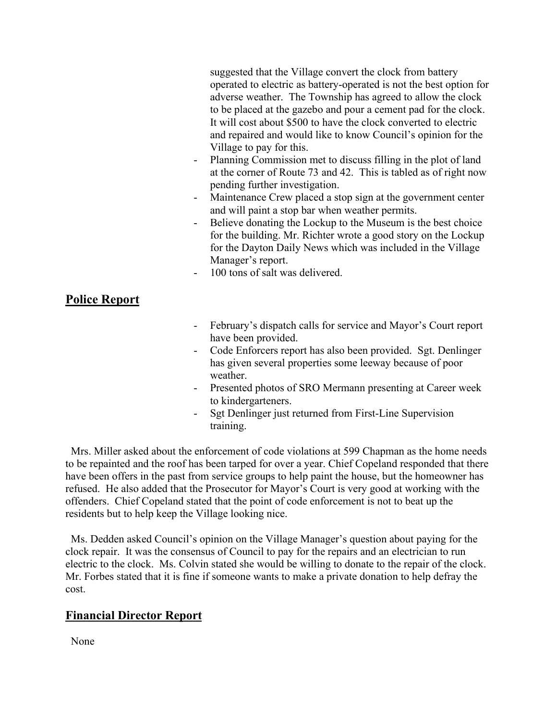suggested that the Village convert the clock from battery operated to electric as battery-operated is not the best option for adverse weather. The Township has agreed to allow the clock to be placed at the gazebo and pour a cement pad for the clock. It will cost about \$500 to have the clock converted to electric and repaired and would like to know Council's opinion for the Village to pay for this.

- Planning Commission met to discuss filling in the plot of land at the corner of Route 73 and 42. This is tabled as of right now pending further investigation.
- Maintenance Crew placed a stop sign at the government center and will paint a stop bar when weather permits.
- Believe donating the Lockup to the Museum is the best choice for the building. Mr. Richter wrote a good story on the Lockup for the Dayton Daily News which was included in the Village Manager's report.
- 100 tons of salt was delivered.

## **Police Report**

- February's dispatch calls for service and Mayor's Court report have been provided.
- Code Enforcers report has also been provided. Sgt. Denlinger has given several properties some leeway because of poor weather.
- Presented photos of SRO Mermann presenting at Career week to kindergarteners.
- Sgt Denlinger just returned from First-Line Supervision training.

 Mrs. Miller asked about the enforcement of code violations at 599 Chapman as the home needs to be repainted and the roof has been tarped for over a year. Chief Copeland responded that there have been offers in the past from service groups to help paint the house, but the homeowner has refused. He also added that the Prosecutor for Mayor's Court is very good at working with the offenders. Chief Copeland stated that the point of code enforcement is not to beat up the residents but to help keep the Village looking nice.

 Ms. Dedden asked Council's opinion on the Village Manager's question about paying for the clock repair. It was the consensus of Council to pay for the repairs and an electrician to run electric to the clock. Ms. Colvin stated she would be willing to donate to the repair of the clock. Mr. Forbes stated that it is fine if someone wants to make a private donation to help defray the cost.

## **Financial Director Report**

None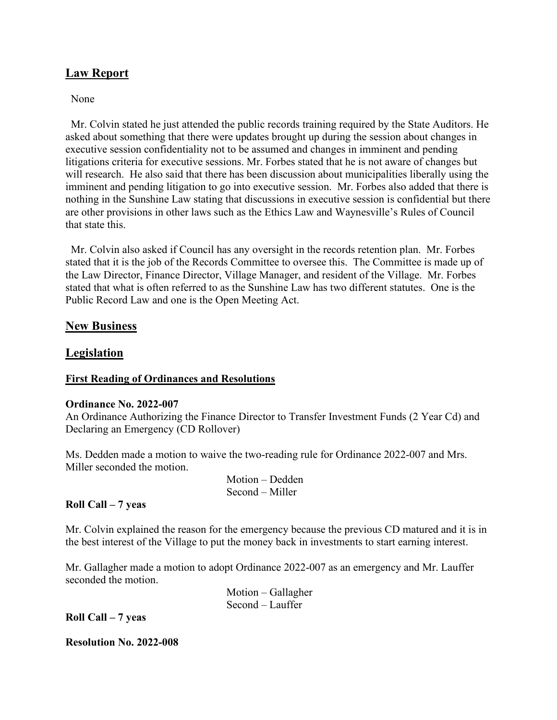# **Law Report**

None

 Mr. Colvin stated he just attended the public records training required by the State Auditors. He asked about something that there were updates brought up during the session about changes in executive session confidentiality not to be assumed and changes in imminent and pending litigations criteria for executive sessions. Mr. Forbes stated that he is not aware of changes but will research. He also said that there has been discussion about municipalities liberally using the imminent and pending litigation to go into executive session. Mr. Forbes also added that there is nothing in the Sunshine Law stating that discussions in executive session is confidential but there are other provisions in other laws such as the Ethics Law and Waynesville's Rules of Council that state this.

 Mr. Colvin also asked if Council has any oversight in the records retention plan. Mr. Forbes stated that it is the job of the Records Committee to oversee this. The Committee is made up of the Law Director, Finance Director, Village Manager, and resident of the Village. Mr. Forbes stated that what is often referred to as the Sunshine Law has two different statutes. One is the Public Record Law and one is the Open Meeting Act.

## **New Business**

## **Legislation**

## **First Reading of Ordinances and Resolutions**

#### **Ordinance No. 2022-007**

An Ordinance Authorizing the Finance Director to Transfer Investment Funds (2 Year Cd) and Declaring an Emergency (CD Rollover)

Ms. Dedden made a motion to waive the two-reading rule for Ordinance 2022-007 and Mrs. Miller seconded the motion.

| Motion – Dedden |
|-----------------|
| Second – Miller |

#### **Roll Call – 7 yeas**

Mr. Colvin explained the reason for the emergency because the previous CD matured and it is in the best interest of the Village to put the money back in investments to start earning interest.

Mr. Gallagher made a motion to adopt Ordinance 2022-007 as an emergency and Mr. Lauffer seconded the motion.

> Motion – Gallagher Second – Lauffer

**Roll Call – 7 yeas** 

**Resolution No. 2022-008**